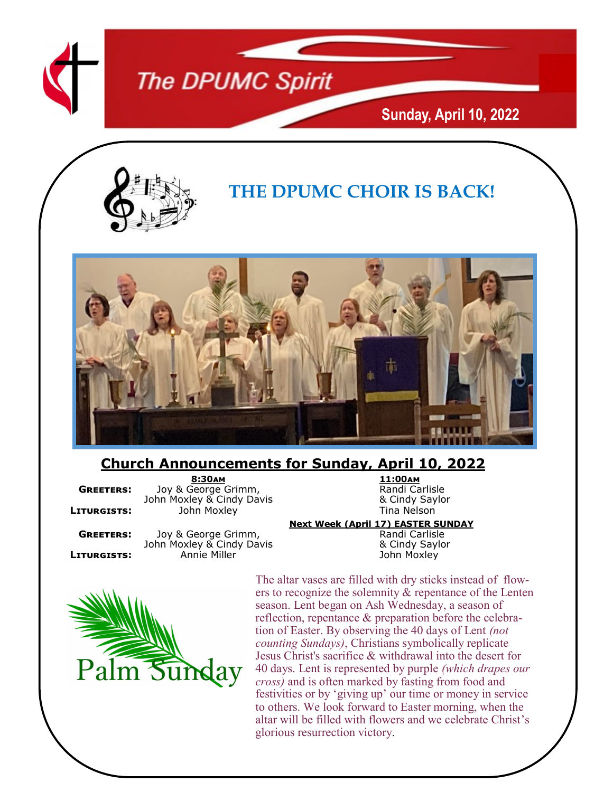

### **The DPUMC Spirit**

**Sunday, April 10, 2022**



### **THE DPUMC CHOIR IS BACK!**



#### **Church Announcements for Sunday, April 10, 2022**

**8:30am 11:00am GREETERS:** Joy & George Grimm, The Randi Carlisle Randi Carlisle John Moxley & Cindy Saylor John Moxley & Cindy Davis **Baylor & Cindy Saylor & Cindy Saylor Baylor**<br>John Moxley **Markow Tina Nelson LITURGISTS:** John Moxley

**GREETERS:** Joy & George Grimm, The Constantion of Randi Carlisle Carlisle<br>John Moxley & Cindy Davis Manual & Cindy Saylor John Moxley & Cindy Davis<br>Annie Miller **LITURGISTS:** Annie Miller **Gramman Annie Miller** John Moxley

**Next Week (April 17) EASTER SUNDAY**



The altar vases are filled with dry sticks instead of flowers to recognize the solemnity & repentance of the Lenten season. Lent began on Ash Wednesday, a season of reflection, repentance & preparation before the celebration of Easter. By observing the 40 days of Lent *(not counting Sundays)*, Christians symbolically replicate Jesus Christ's sacrifice & withdrawal into the desert for 40 days. Lent is represented by purple *(which drapes our cross)* and is often marked by fasting from food and festivities or by 'giving up' our time or money in service to others. We look forward to Easter morning, when the altar will be filled with flowers and we celebrate Christ's glorious resurrection victory.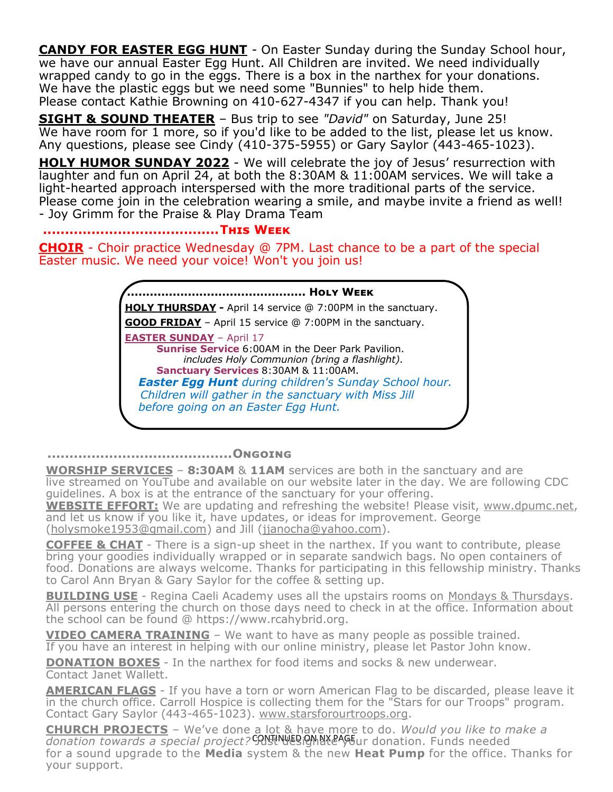**CANDY FOR EASTER EGG HUNT** - On Easter Sunday during the Sunday School hour, we have our annual Easter Egg Hunt. All Children are invited. We need individually wrapped candy to go in the eggs. There is a box in the narthex for your donations. We have the plastic eggs but we need some "Bunnies" to help hide them. Please contact Kathie Browning on 410-627-4347 if you can help. Thank you!

**SIGHT & SOUND THEATER** – Bus trip to see *"David"* on Saturday, June 25! We have room for 1 more, so if you'd like to be added to the list, please let us know. Any questions, please see Cindy (410-375-5955) or Gary Saylor (443-465-1023).

**HOLY HUMOR SUNDAY 2022** - We will celebrate the joy of Jesus' resurrection with laughter and fun on April 24, at both the 8:30AM & 11:00AM services. We will take a light-hearted approach interspersed with the more traditional parts of the service. Please come join in the celebration wearing a smile, and maybe invite a friend as well! - Joy Grimm for the Praise & Play Drama Team

**........................................This Week**

**CHOIR** - Choir practice Wednesday @ 7PM. Last chance to be a part of the special Easter music. We need your voice! Won't you join us!

> **............................................... Holy Week HOLY THURSDAY -** April 14 service @ 7:00PM in the sanctuary. **GOOD FRIDAY** – April 15 service @ 7:00PM in the sanctuary. **EASTER SUNDAY** – April 17 **Sunrise Service** 6:00AM in the Deer Park Pavilion. *includes Holy Communion (bring a flashlight).* **Sanctuary Services** 8:30AM & 11:00AM. *Easter Egg Hunt during children's Sunday School hour. Children will gather in the sanctuary with Miss Jill before going on an Easter Egg Hunt.*

**..........................................Ongoing**

**WORSHIP SERVICES** – **8:30AM** & **11AM** services are both in the sanctuary and are live streamed on YouTube and available on our website later in the day. We are following CDC guidelines. A box is at the entrance of the sanctuary for your offering.

**WEBSITE EFFORT:** We are updating and refreshing the website! Please visit, [www.dpumc.net,](http://www.dpumc.net) and let us know if you like it, have updates, or ideas for improvement. George ([holysmoke1953@gmail.com\)](mailto:holysmokes1953@gmail.com) and Jill [\(jjanocha@yahoo.com\)](mailto:jjanocha@yahoo.com).

**COFFEE & CHAT** - There is a sign-up sheet in the narthex. If you want to contribute, please bring your goodies individually wrapped or in separate sandwich bags. No open containers of food. Donations are always welcome. Thanks for participating in this fellowship ministry. Thanks to Carol Ann Bryan & Gary Saylor for the coffee & setting up.

**BUILDING USE** - Regina Caeli Academy uses all the upstairs rooms on Mondays & Thursdays. All persons entering the church on those days need to check in at the office. Information about the school can be found @ https://www.rcahybrid.org.

**VIDEO CAMERA TRAINING** – We want to have as many people as possible trained.

If you have an interest in helping with our online ministry, please let Pastor John know. **DONATION BOXES** - In the narthex for food items and socks & new underwear.

Contact Janet Wallett.

**AMERICAN FLAGS** - If you have a torn or worn American Flag to be discarded, please leave it in the church office. Carroll Hospice is collecting them for the "Stars for our Troops" program. Contact Gary Saylor (443-465-1023). www.starsforourtroops.org.

donation towards a special project? CRNT NESIGNAY&S our donation. Funds needed **CHURCH PROJECTS** – We've done a lot & have more to do. *Would you like to make a*  for a sound upgrade to the **Media** system & the new **Heat Pump** for the office. Thanks for your support.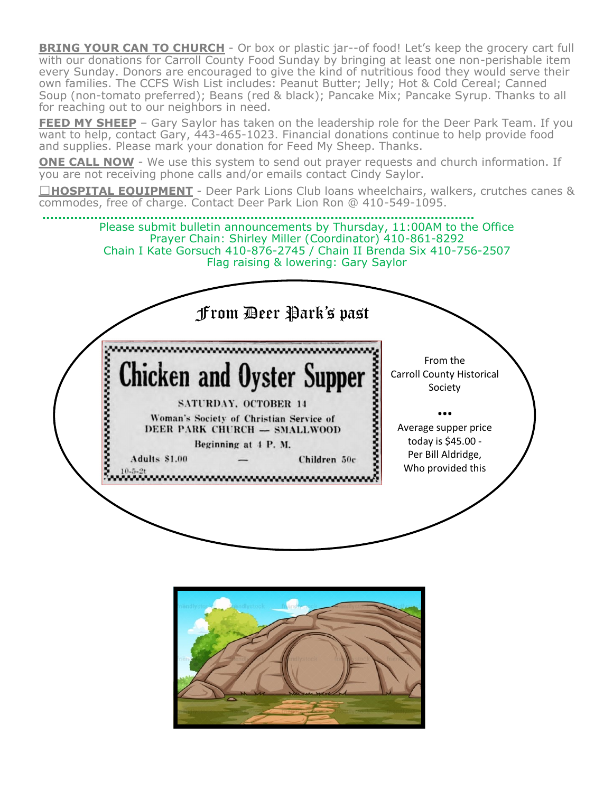**BRING YOUR CAN TO CHURCH** - Or box or plastic jar--of food! Let's keep the grocery cart full with our donations for Carroll County Food Sunday by bringing at least one non-perishable item every Sunday. Donors are encouraged to give the kind of nutritious food they would serve their own families. The CCFS Wish List includes: Peanut Butter; Jelly; Hot & Cold Cereal; Canned Soup (non-tomato preferred); Beans (red & black); Pancake Mix; Pancake Syrup. Thanks to all for reaching out to our neighbors in need.

**FEED MY SHEEP** – Gary Saylor has taken on the leadership role for the Deer Park Team. If you want to help, contact Gary, 443-465-1023. Financial donations continue to help provide food and supplies. Please mark your donation for Feed My Sheep. Thanks.

**ONE CALL NOW** - We use this system to send out prayer requests and church information. If you are not receiving phone calls and/or emails contact Cindy Saylor.

□HOSPITAL EOUIPMENT - Deer Park Lions Club loans wheelchairs, walkers, crutches canes & commodes, free of charge. Contact Deer Park Lion Ron @ 410-549-1095.

**............................................................................................................** Please submit bulletin announcements by Thursday, 11:00AM to the Office Prayer Chain: Shirley Miller (Coordinator) 410-861-8292 Chain I Kate Gorsuch 410-876-2745 / Chain II Brenda Six 410-756-2507 Flag raising & lowering: Gary Saylor From Deer Park's past*<u><u> Conservation Conservation</u>*</u> ,,,,,,,,,,,,,,,,,,,,,,,,,,,,,,, From the **Chicken and Oyster Supper** Carroll County Historical Society **SATURDAY, OCTOBER 14 …** Woman's Society of Christian Service of Average supper price DEER PARK CHURCH - SMALLWOOD today is \$45.00 - Beginning at 4 P.M. Per Bill Aldridge, Adults \$1.00 Children 50c Who provided this <u> 1882 - Jan Alexandro Alexandro Alexandro Alexandro Alexandro Alexandro Alexandro Alexandro Alexandro Alexandro </u>

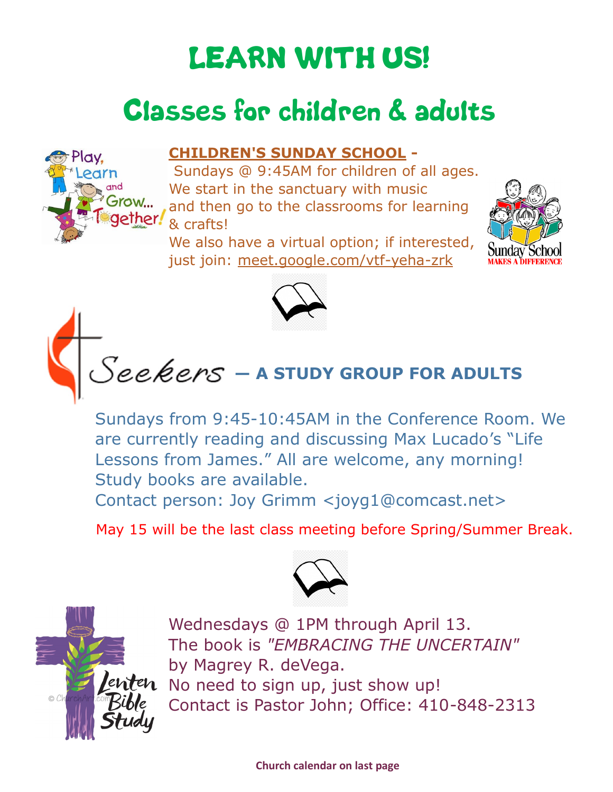## LEARN WITH US!

### Classes for children & adults

#### **CHILDREN'S SUNDAY SCHOOL -**

Sundays @ 9:45AM for children of all ages. We start in the sanctuary with music and then go to the classrooms for learning & crafts!

We also have a virtual option; if interested, just join: [meet.google.com/vtf](https://www.dpumc.net/groups/childrens-ministries/sunday-school/meet.google.com/vtf-yeha-zrk)-yeha-zrk





# **— A STUDY GROUP FOR ADULTS**

Sundays from 9:45-10:45AM in the Conference Room. We are currently reading and discussing Max Lucado's "Life Lessons from James." All are welcome, any morning! Study books are available.

Contact person: Joy Grimm <joyg1@comcast.net>

May 15 will be the last class meeting before Spring/Summer Break.





Play.

Grow...

Wednesdays @ 1PM through April 13. The book is *"EMBRACING THE UNCERTAIN"* by Magrey R. deVega. No need to sign up, just show up! Contact is Pastor John; Office: 410-848-2313

**Church calendar on last page**